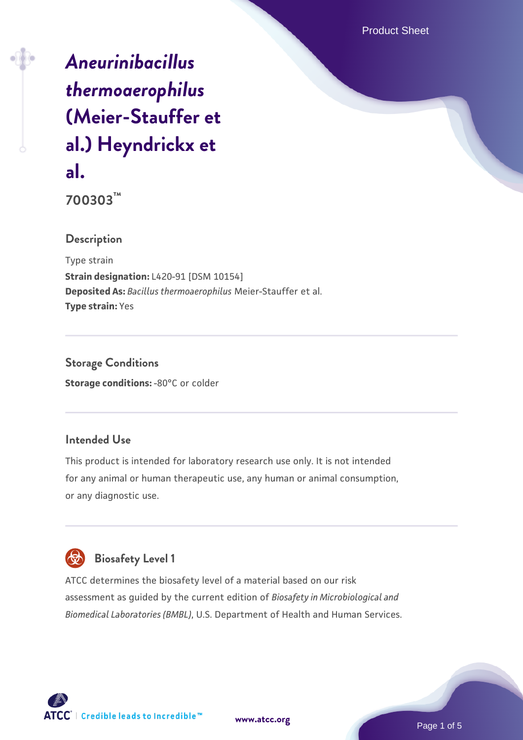Product Sheet

# *[Aneurinibacillus](https://www.atcc.org/products/700303) [thermoaerophilus](https://www.atcc.org/products/700303)* **[\(Meier-Stauffer et](https://www.atcc.org/products/700303) [al.\) Heyndrickx et](https://www.atcc.org/products/700303) [al.](https://www.atcc.org/products/700303)**

**700303™**

### **Description**

Type strain **Strain designation:** L420-91 [DSM 10154] **Deposited As:** *Bacillus thermoaerophilus* Meier-Stauffer et al. **Type strain:** Yes

**Storage Conditions Storage conditions: -80°C or colder** 

## **Intended Use**

This product is intended for laboratory research use only. It is not intended for any animal or human therapeutic use, any human or animal consumption, or any diagnostic use.



## **Biosafety Level 1**

ATCC determines the biosafety level of a material based on our risk assessment as guided by the current edition of *Biosafety in Microbiological and Biomedical Laboratories (BMBL)*, U.S. Department of Health and Human Services.

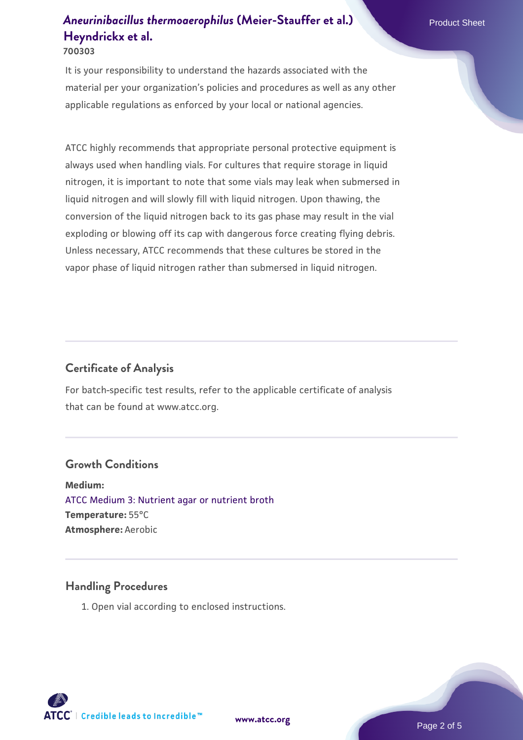It is your responsibility to understand the hazards associated with the material per your organization's policies and procedures as well as any other applicable regulations as enforced by your local or national agencies.

ATCC highly recommends that appropriate personal protective equipment is always used when handling vials. For cultures that require storage in liquid nitrogen, it is important to note that some vials may leak when submersed in liquid nitrogen and will slowly fill with liquid nitrogen. Upon thawing, the conversion of the liquid nitrogen back to its gas phase may result in the vial exploding or blowing off its cap with dangerous force creating flying debris. Unless necessary, ATCC recommends that these cultures be stored in the vapor phase of liquid nitrogen rather than submersed in liquid nitrogen.

#### **Certificate of Analysis**

For batch-specific test results, refer to the applicable certificate of analysis that can be found at www.atcc.org.

#### **Growth Conditions**

**Medium:**  [ATCC Medium 3: Nutrient agar or nutrient broth](https://www.atcc.org/-/media/product-assets/documents/microbial-media-formulations/3/atcc-medium-3.pdf?rev=7510837507e64d849c62a46b5b2197a1) **Temperature:** 55°C **Atmosphere:** Aerobic

#### **Handling Procedures**

1. Open vial according to enclosed instructions.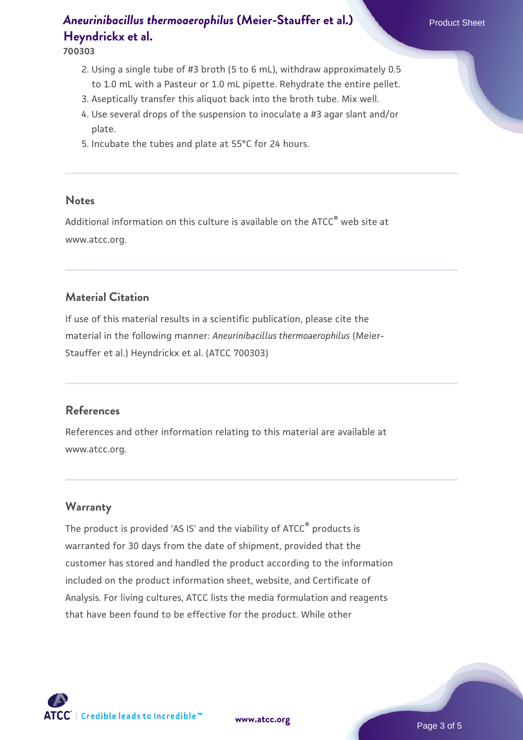#### **700303**

- 2. Using a single tube of #3 broth (5 to 6 mL), withdraw approximately 0.5 to 1.0 mL with a Pasteur or 1.0 mL pipette. Rehydrate the entire pellet.
- 3. Aseptically transfer this aliquot back into the broth tube. Mix well.
- 4. Use several drops of the suspension to inoculate a #3 agar slant and/or plate.
- 5. Incubate the tubes and plate at 55°C for 24 hours.

#### **Notes**

Additional information on this culture is available on the ATCC<sup>®</sup> web site at www.atcc.org.

#### **Material Citation**

If use of this material results in a scientific publication, please cite the material in the following manner: *Aneurinibacillus thermoaerophilus* (Meier-Stauffer et al.) Heyndrickx et al. (ATCC 700303)

#### **References**

References and other information relating to this material are available at www.atcc.org.

#### **Warranty**

The product is provided 'AS IS' and the viability of ATCC<sup>®</sup> products is warranted for 30 days from the date of shipment, provided that the customer has stored and handled the product according to the information included on the product information sheet, website, and Certificate of Analysis. For living cultures, ATCC lists the media formulation and reagents that have been found to be effective for the product. While other

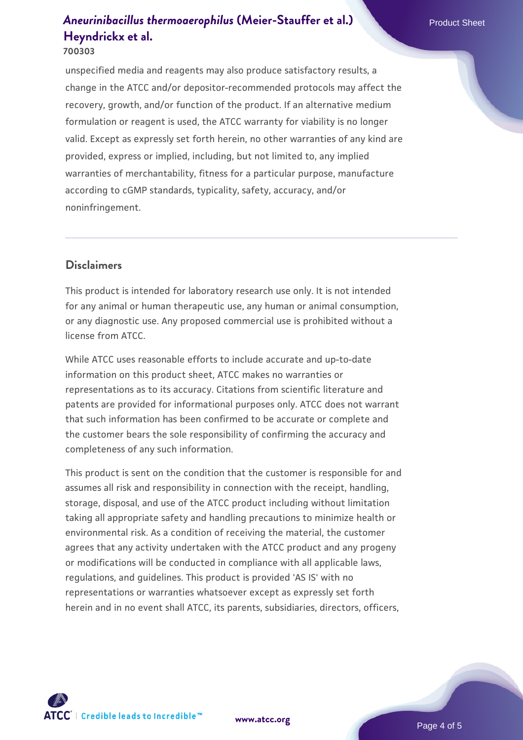#### **700303**

unspecified media and reagents may also produce satisfactory results, a change in the ATCC and/or depositor-recommended protocols may affect the recovery, growth, and/or function of the product. If an alternative medium formulation or reagent is used, the ATCC warranty for viability is no longer valid. Except as expressly set forth herein, no other warranties of any kind are provided, express or implied, including, but not limited to, any implied warranties of merchantability, fitness for a particular purpose, manufacture according to cGMP standards, typicality, safety, accuracy, and/or noninfringement.

#### **Disclaimers**

This product is intended for laboratory research use only. It is not intended for any animal or human therapeutic use, any human or animal consumption, or any diagnostic use. Any proposed commercial use is prohibited without a license from ATCC.

While ATCC uses reasonable efforts to include accurate and up-to-date information on this product sheet, ATCC makes no warranties or representations as to its accuracy. Citations from scientific literature and patents are provided for informational purposes only. ATCC does not warrant that such information has been confirmed to be accurate or complete and the customer bears the sole responsibility of confirming the accuracy and completeness of any such information.

This product is sent on the condition that the customer is responsible for and assumes all risk and responsibility in connection with the receipt, handling, storage, disposal, and use of the ATCC product including without limitation taking all appropriate safety and handling precautions to minimize health or environmental risk. As a condition of receiving the material, the customer agrees that any activity undertaken with the ATCC product and any progeny or modifications will be conducted in compliance with all applicable laws, regulations, and guidelines. This product is provided 'AS IS' with no representations or warranties whatsoever except as expressly set forth herein and in no event shall ATCC, its parents, subsidiaries, directors, officers,